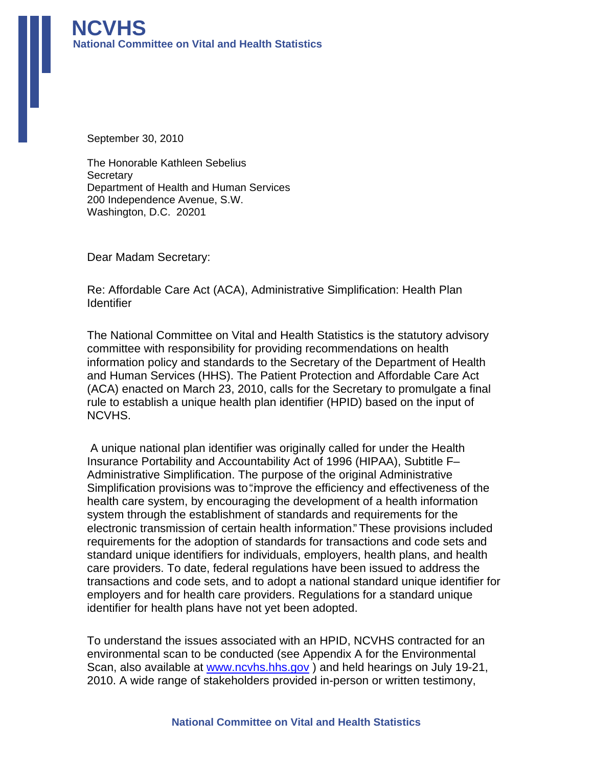September 30, 2010

The Honorable Kathleen Sebelius **Secretary** Department of Health and Human Services 200 Independence Avenue, S.W. Washington, D.C. 20201

Dear Madam Secretary:

Re: Affordable Care Act (ACA), Administrative Simplification: Health Plan **Identifier** 

The National Committee on Vital and Health Statistics is the statutory advisory committee with responsibility for providing recommendations on health information policy and standards to the Secretary of the Department of Health and Human Services (HHS). The Patient Protection and Affordable Care Act (ACA) enacted on March 23, 2010, calls for the Secretary to promulgate a final rule to establish a unique health plan identifier (HPID) based on the input of NCVHS.

 A unique national plan identifier was originally called for under the Health Insurance Portability and Accountability Act of 1996 (HIPAA), Subtitle F-Administrative Simplification. The purpose of the original Administrative Simplification provisions was to "mprove the efficiency and effectiveness of the health care system, by encouraging the development of a health information system through the establishment of standards and requirements for the electronic transmission of certain health information." These provisions included requirements for the adoption of standards for transactions and code sets and standard unique identifiers for individuals, employers, health plans, and health care providers. To date, federal regulations have been issued to address the transactions and code sets, and to adopt a national standard unique identifier for employers and for health care providers. Regulations for a standard unique identifier for health plans have not yet been adopted.

To understand the issues associated with an HPID, NCVHS contracted for an environmental scan to be conducted (see Appendix A for the Environmental Scan, also available at www.ncvhs.hhs.gov ) and held hearings on July 19-21, 2010. A wide range of stakeholders provided in-person or written testimony,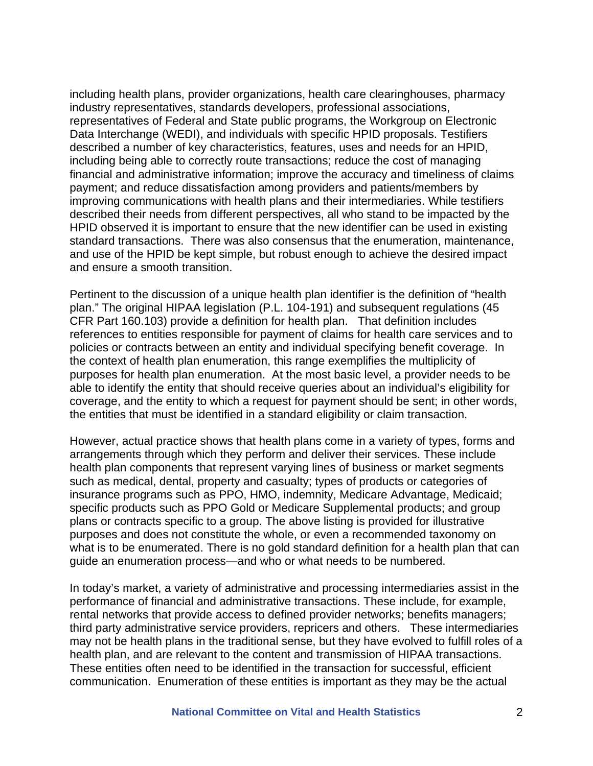including health plans, provider organizations, health care clearinghouses, pharmacy industry representatives, standards developers, professional associations, representatives of Federal and State public programs, the Workgroup on Electronic Data Interchange (WEDI), and individuals with specific HPID proposals. Testifiers described a number of key characteristics, features, uses and needs for an HPID, including being able to correctly route transactions; reduce the cost of managing financial and administrative information; improve the accuracy and timeliness of claims payment; and reduce dissatisfaction among providers and patients/members by improving communications with health plans and their intermediaries. While testifiers described their needs from different perspectives, all who stand to be impacted by the HPID observed it is important to ensure that the new identifier can be used in existing standard transactions. There was also consensus that the enumeration, maintenance, and use of the HPID be kept simple, but robust enough to achieve the desired impact and ensure a smooth transition.

Pertinent to the discussion of a unique health plan identifier is the definition of "health plan." The original HIPAA legislation (P.L. 104-191) and subsequent regulations (45 CFR Part 160.103) provide a definition for health plan. That definition includes references to entities responsible for payment of claims for health care services and to policies or contracts between an entity and individual specifying benefit coverage. In the context of health plan enumeration, this range exemplifies the multiplicity of purposes for health plan enumeration. At the most basic level, a provider needs to be able to identify the entity that should receive queries about an individual's eligibility for coverage, and the entity to which a request for payment should be sent; in other words, the entities that must be identified in a standard eligibility or claim transaction.

However, actual practice shows that health plans come in a variety of types, forms and arrangements through which they perform and deliver their services. These include health plan components that represent varying lines of business or market segments such as medical, dental, property and casualty; types of products or categories of insurance programs such as PPO, HMO, indemnity, Medicare Advantage, Medicaid; specific products such as PPO Gold or Medicare Supplemental products; and group plans or contracts specific to a group. The above listing is provided for illustrative purposes and does not constitute the whole, or even a recommended taxonomy on what is to be enumerated. There is no gold standard definition for a health plan that can guide an enumeration process—and who or what needs to be numbered.

In today's market, a variety of administrative and processing intermediaries assist in the performance of financial and administrative transactions. These include, for example, rental networks that provide access to defined provider networks; benefits managers; third party administrative service providers, repricers and others. These intermediaries may not be health plans in the traditional sense, but they have evolved to fulfill roles of a health plan, and are relevant to the content and transmission of HIPAA transactions. These entities often need to be identified in the transaction for successful, efficient communication. Enumeration of these entities is important as they may be the actual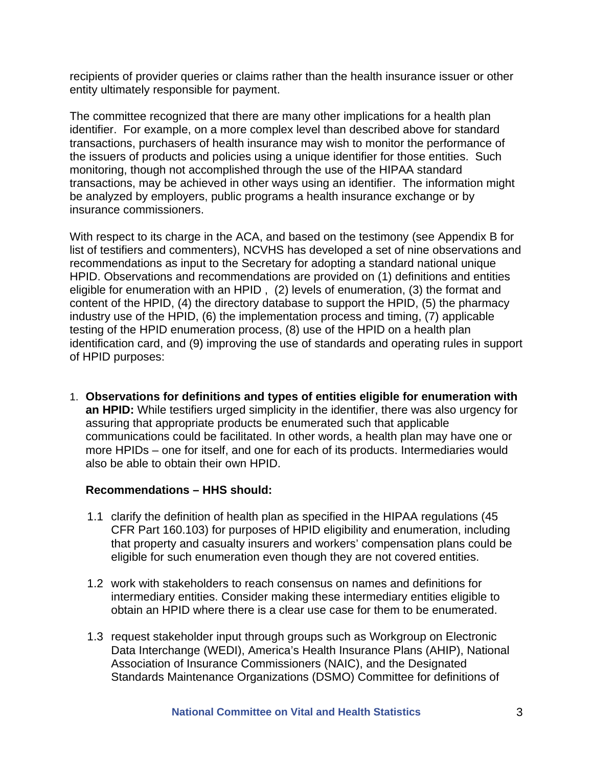recipients of provider queries or claims rather than the health insurance issuer or other entity ultimately responsible for payment.

The committee recognized that there are many other implications for a health plan identifier. For example, on a more complex level than described above for standard transactions, purchasers of health insurance may wish to monitor the performance of the issuers of products and policies using a unique identifier for those entities. Such monitoring, though not accomplished through the use of the HIPAA standard transactions, may be achieved in other ways using an identifier. The information might be analyzed by employers, public programs a health insurance exchange or by insurance commissioners.

With respect to its charge in the ACA, and based on the testimony (see Appendix B for list of testifiers and commenters), NCVHS has developed a set of nine observations and recommendations as input to the Secretary for adopting a standard national unique HPID. Observations and recommendations are provided on (1) definitions and entities eligible for enumeration with an HPID , (2) levels of enumeration, (3) the format and content of the HPID, (4) the directory database to support the HPID, (5) the pharmacy industry use of the HPID, (6) the implementation process and timing, (7) applicable testing of the HPID enumeration process, (8) use of the HPID on a health plan identification card, and (9) improving the use of standards and operating rules in support of HPID purposes:

1. **Observations for definitions and types of entities eligible for enumeration with an HPID:** While testifiers urged simplicity in the identifier, there was also urgency for assuring that appropriate products be enumerated such that applicable communications could be facilitated. In other words, a health plan may have one or more HPIDs – one for itself, and one for each of its products. Intermediaries would also be able to obtain their own HPID.

### **Recommendations – HHS should:**

- 1.1 clarify the definition of health plan as specified in the HIPAA regulations (45 CFR Part 160.103) for purposes of HPID eligibility and enumeration, including that property and casualty insurers and workers' compensation plans could be eligible for such enumeration even though they are not covered entities.
- 1.2 work with stakeholders to reach consensus on names and definitions for intermediary entities. Consider making these intermediary entities eligible to obtain an HPID where there is a clear use case for them to be enumerated.
- 1.3 request stakeholder input through groups such as Workgroup on Electronic Data Interchange (WEDI), America's Health Insurance Plans (AHIP), National Association of Insurance Commissioners (NAIC), and the Designated Standards Maintenance Organizations (DSMO) Committee for definitions of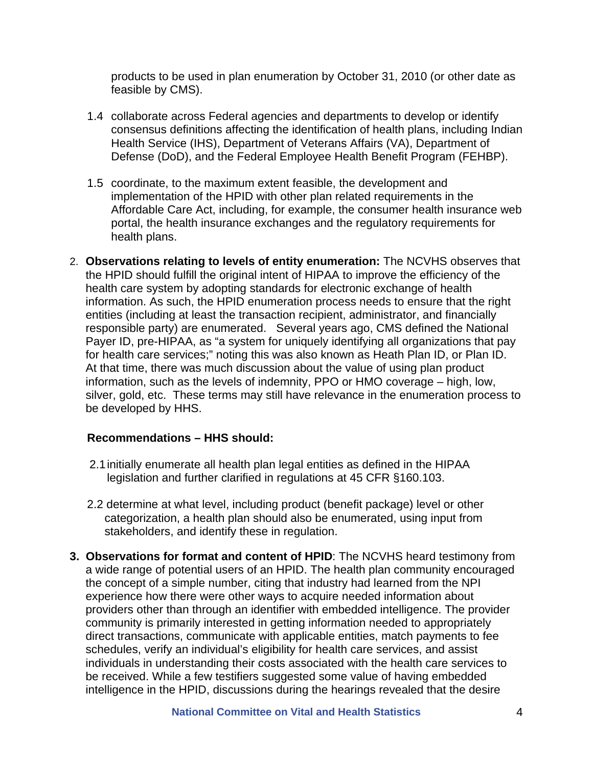products to be used in plan enumeration by October 31, 2010 (or other date as feasible by CMS).

- 1.4 collaborate across Federal agencies and departments to develop or identify consensus definitions affecting the identification of health plans, including Indian Health Service (IHS), Department of Veterans Affairs (VA), Department of Defense (DoD), and the Federal Employee Health Benefit Program (FEHBP).
- 1.5 coordinate, to the maximum extent feasible, the development and implementation of the HPID with other plan related requirements in the Affordable Care Act, including, for example, the consumer health insurance web portal, the health insurance exchanges and the regulatory requirements for health plans.
- 2. **Observations relating to levels of entity enumeration:** The NCVHS observes that the HPID should fulfill the original intent of HIPAA to improve the efficiency of the health care system by adopting standards for electronic exchange of health information. As such, the HPID enumeration process needs to ensure that the right entities (including at least the transaction recipient, administrator, and financially responsible party) are enumerated. Several years ago, CMS defined the National Payer ID, pre-HIPAA, as "a system for uniquely identifying all organizations that pay for health care services;" noting this was also known as Heath Plan ID, or Plan ID. At that time, there was much discussion about the value of using plan product information, such as the levels of indemnity, PPO or HMO coverage – high, low, silver, gold, etc. These terms may still have relevance in the enumeration process to be developed by HHS.

### **Recommendations – HHS should:**

- 2.1 initially enumerate all health plan legal entities as defined in the HIPAA legislation and further clarified in regulations at 45 CFR §160.103.
- 2.2 determine at what level, including product (benefit package) level or other categorization, a health plan should also be enumerated, using input from stakeholders, and identify these in regulation.
- **3. Observations for format and content of HPID**: The NCVHS heard testimony from a wide range of potential users of an HPID. The health plan community encouraged the concept of a simple number, citing that industry had learned from the NPI experience how there were other ways to acquire needed information about providers other than through an identifier with embedded intelligence. The provider community is primarily interested in getting information needed to appropriately direct transactions, communicate with applicable entities, match payments to fee schedules, verify an individual's eligibility for health care services, and assist individuals in understanding their costs associated with the health care services to be received. While a few testifiers suggested some value of having embedded intelligence in the HPID, discussions during the hearings revealed that the desire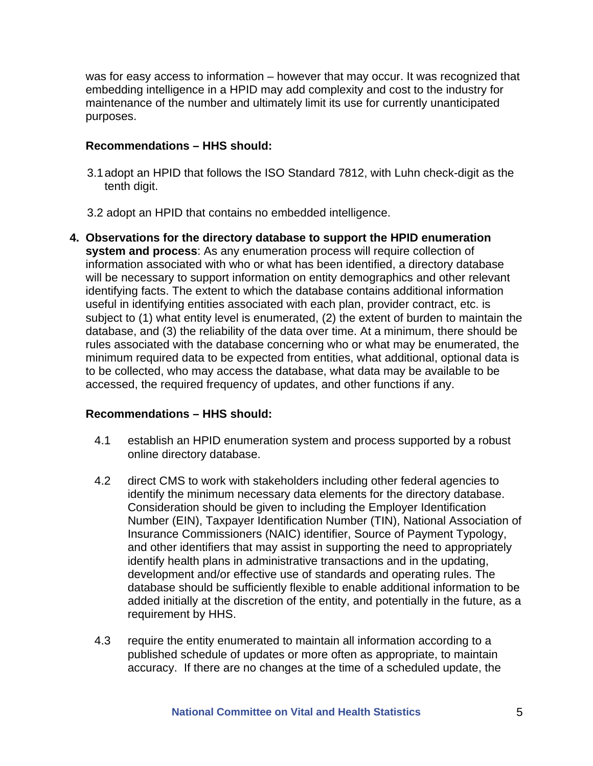was for easy access to information – however that may occur. It was recognized that embedding intelligence in a HPID may add complexity and cost to the industry for maintenance of the number and ultimately limit its use for currently unanticipated purposes.

## **Recommendations – HHS should:**

- 3.1 adopt an HPID that follows the ISO Standard 7812, with Luhn check-digit as the tenth digit.
- 3.2 adopt an HPID that contains no embedded intelligence.
- **4. Observations for the directory database to support the HPID enumeration system and process**: As any enumeration process will require collection of information associated with who or what has been identified, a directory database will be necessary to support information on entity demographics and other relevant identifying facts. The extent to which the database contains additional information useful in identifying entities associated with each plan, provider contract, etc. is subject to (1) what entity level is enumerated, (2) the extent of burden to maintain the database, and (3) the reliability of the data over time. At a minimum, there should be rules associated with the database concerning who or what may be enumerated, the minimum required data to be expected from entities, what additional, optional data is to be collected, who may access the database, what data may be available to be accessed, the required frequency of updates, and other functions if any.

# **Recommendations – HHS should:**

- 4.1 establish an HPID enumeration system and process supported by a robust online directory database.
- 4.2 direct CMS to work with stakeholders including other federal agencies to identify the minimum necessary data elements for the directory database. Consideration should be given to including the Employer Identification Number (EIN), Taxpayer Identification Number (TIN), National Association of Insurance Commissioners (NAIC) identifier, Source of Payment Typology, and other identifiers that may assist in supporting the need to appropriately identify health plans in administrative transactions and in the updating, development and/or effective use of standards and operating rules. The database should be sufficiently flexible to enable additional information to be added initially at the discretion of the entity, and potentially in the future, as a requirement by HHS.
- 4.3 require the entity enumerated to maintain all information according to a published schedule of updates or more often as appropriate, to maintain accuracy. If there are no changes at the time of a scheduled update, the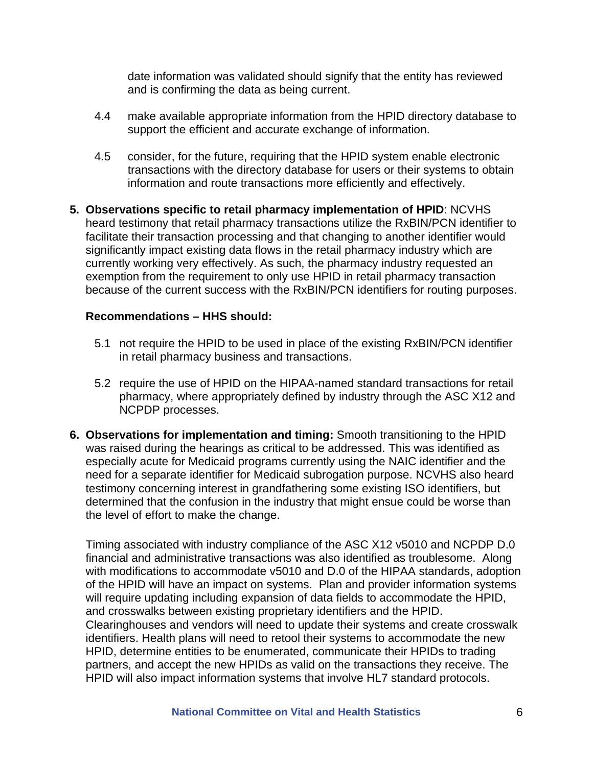date information was validated should signify that the entity has reviewed and is confirming the data as being current.

- 4.4 make available appropriate information from the HPID directory database to support the efficient and accurate exchange of information.
- 4.5 consider, for the future, requiring that the HPID system enable electronic transactions with the directory database for users or their systems to obtain information and route transactions more efficiently and effectively.
- **5. Observations specific to retail pharmacy implementation of HPID**: NCVHS heard testimony that retail pharmacy transactions utilize the RxBIN/PCN identifier to facilitate their transaction processing and that changing to another identifier would significantly impact existing data flows in the retail pharmacy industry which are currently working very effectively. As such, the pharmacy industry requested an exemption from the requirement to only use HPID in retail pharmacy transaction because of the current success with the RxBIN/PCN identifiers for routing purposes.

#### **Recommendations – HHS should:**

- 5.1 not require the HPID to be used in place of the existing RxBIN/PCN identifier in retail pharmacy business and transactions.
- 5.2 require the use of HPID on the HIPAA-named standard transactions for retail pharmacy, where appropriately defined by industry through the ASC X12 and NCPDP processes.
- **6. Observations for implementation and timing:** Smooth transitioning to the HPID was raised during the hearings as critical to be addressed. This was identified as especially acute for Medicaid programs currently using the NAIC identifier and the need for a separate identifier for Medicaid subrogation purpose. NCVHS also heard testimony concerning interest in grandfathering some existing ISO identifiers, but determined that the confusion in the industry that might ensue could be worse than the level of effort to make the change.

Timing associated with industry compliance of the ASC X12 v5010 and NCPDP D.0 financial and administrative transactions was also identified as troublesome. Along with modifications to accommodate v5010 and D.0 of the HIPAA standards, adoption of the HPID will have an impact on systems. Plan and provider information systems will require updating including expansion of data fields to accommodate the HPID, and crosswalks between existing proprietary identifiers and the HPID. Clearinghouses and vendors will need to update their systems and create crosswalk identifiers. Health plans will need to retool their systems to accommodate the new HPID, determine entities to be enumerated, communicate their HPIDs to trading partners, and accept the new HPIDs as valid on the transactions they receive. The HPID will also impact information systems that involve HL7 standard protocols.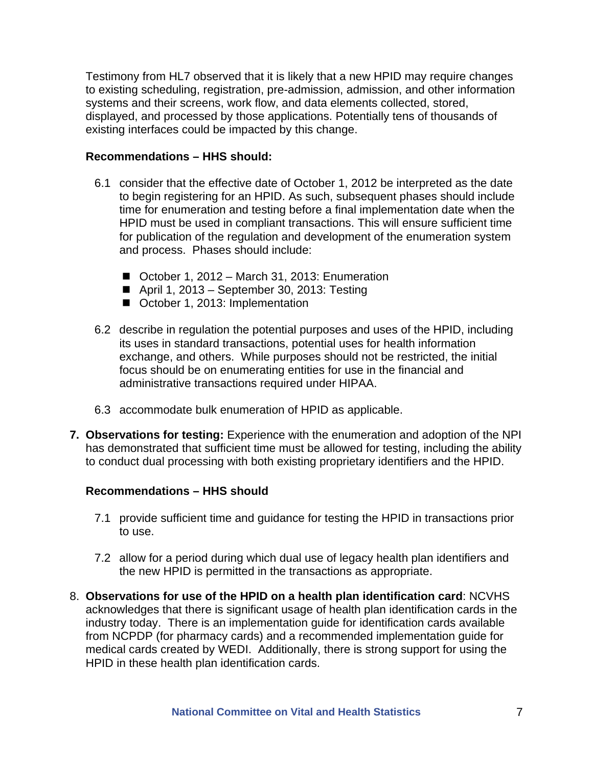Testimony from HL7 observed that it is likely that a new HPID may require changes to existing scheduling, registration, pre-admission, admission, and other information systems and their screens, work flow, and data elements collected, stored, displayed, and processed by those applications. Potentially tens of thousands of existing interfaces could be impacted by this change.

### **Recommendations – HHS should:**

- 6.1 consider that the effective date of October 1, 2012 be interpreted as the date to begin registering for an HPID. As such, subsequent phases should include time for enumeration and testing before a final implementation date when the HPID must be used in compliant transactions. This will ensure sufficient time for publication of the regulation and development of the enumeration system and process. Phases should include:
	- October 1, 2012 March 31, 2013: Enumeration
	- April 1, 2013 September 30, 2013: Testing
	- October 1, 2013: Implementation
- 6.2 describe in regulation the potential purposes and uses of the HPID, including its uses in standard transactions, potential uses for health information exchange, and others. While purposes should not be restricted, the initial focus should be on enumerating entities for use in the financial and administrative transactions required under HIPAA.
- 6.3 accommodate bulk enumeration of HPID as applicable.
- **7. Observations for testing:** Experience with the enumeration and adoption of the NPI has demonstrated that sufficient time must be allowed for testing, including the ability to conduct dual processing with both existing proprietary identifiers and the HPID.

#### **Recommendations – HHS should**

- 7.1 provide sufficient time and guidance for testing the HPID in transactions prior to use.
- 7.2 allow for a period during which dual use of legacy health plan identifiers and the new HPID is permitted in the transactions as appropriate.
- 8. **Observations for use of the HPID on a health plan identification card**: NCVHS acknowledges that there is significant usage of health plan identification cards in the industry today. There is an implementation guide for identification cards available from NCPDP (for pharmacy cards) and a recommended implementation guide for medical cards created by WEDI. Additionally, there is strong support for using the HPID in these health plan identification cards.